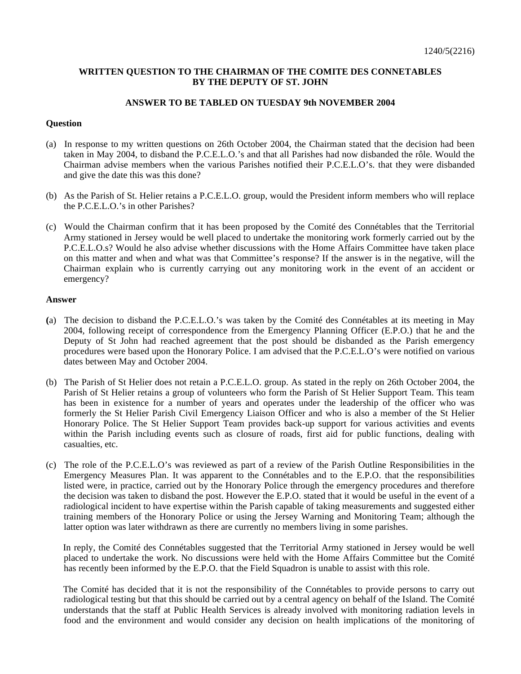## **WRITTEN QUESTION TO THE CHAIRMAN OF THE COMITE DES CONNETABLES BY THE DEPUTY OF ST. JOHN**

## **ANSWER TO BE TABLED ON TUESDAY 9th NOVEMBER 2004**

## **Question**

- (a) In response to my written questions on 26th October 2004, the Chairman stated that the decision had been taken in May 2004, to disband the P.C.E.L.O.'s and that all Parishes had now disbanded the rôle. Would the Chairman advise members when the various Parishes notified their P.C.E.L.O's. that they were disbanded and give the date this was this done?
- (b) As the Parish of St. Helier retains a P.C.E.L.O. group, would the President inform members who will replace the P.C.E.L.O.'s in other Parishes?
- (c) Would the Chairman confirm that it has been proposed by the Comité des Connétables that the Territorial Army stationed in Jersey would be well placed to undertake the monitoring work formerly carried out by the P.C.E.L.O.s? Would he also advise whether discussions with the Home Affairs Committee have taken place on this matter and when and what was that Committee's response? If the answer is in the negative, will the Chairman explain who is currently carrying out any monitoring work in the event of an accident or emergency?

## **Answer**

- **(**a) The decision to disband the P.C.E.L.O.'s was taken by the Comité des Connétables at its meeting in May 2004, following receipt of correspondence from the Emergency Planning Officer (E.P.O.) that he and the Deputy of St John had reached agreement that the post should be disbanded as the Parish emergency procedures were based upon the Honorary Police. I am advised that the P.C.E.L.O's were notified on various dates between May and October 2004.
- (b) The Parish of St Helier does not retain a P.C.E.L.O. group. As stated in the reply on 26th October 2004, the Parish of St Helier retains a group of volunteers who form the Parish of St Helier Support Team. This team has been in existence for a number of years and operates under the leadership of the officer who was formerly the St Helier Parish Civil Emergency Liaison Officer and who is also a member of the St Helier Honorary Police. The St Helier Support Team provides back-up support for various activities and events within the Parish including events such as closure of roads, first aid for public functions, dealing with casualties, etc.
- (c) The role of the P.C.E.L.O's was reviewed as part of a review of the Parish Outline Responsibilities in the Emergency Measures Plan. It was apparent to the Connétables and to the E.P.O. that the responsibilities listed were, in practice, carried out by the Honorary Police through the emergency procedures and therefore the decision was taken to disband the post. However the E.P.O. stated that it would be useful in the event of a radiological incident to have expertise within the Parish capable of taking measurements and suggested either training members of the Honorary Police or using the Jersey Warning and Monitoring Team; although the latter option was later withdrawn as there are currently no members living in some parishes.

 In reply, the Comité des Connétables suggested that the Territorial Army stationed in Jersey would be well placed to undertake the work. No discussions were held with the Home Affairs Committee but the Comité has recently been informed by the E.P.O. that the Field Squadron is unable to assist with this role.

 The Comité has decided that it is not the responsibility of the Connétables to provide persons to carry out radiological testing but that this should be carried out by a central agency on behalf of the Island. The Comité understands that the staff at Public Health Services is already involved with monitoring radiation levels in food and the environment and would consider any decision on health implications of the monitoring of